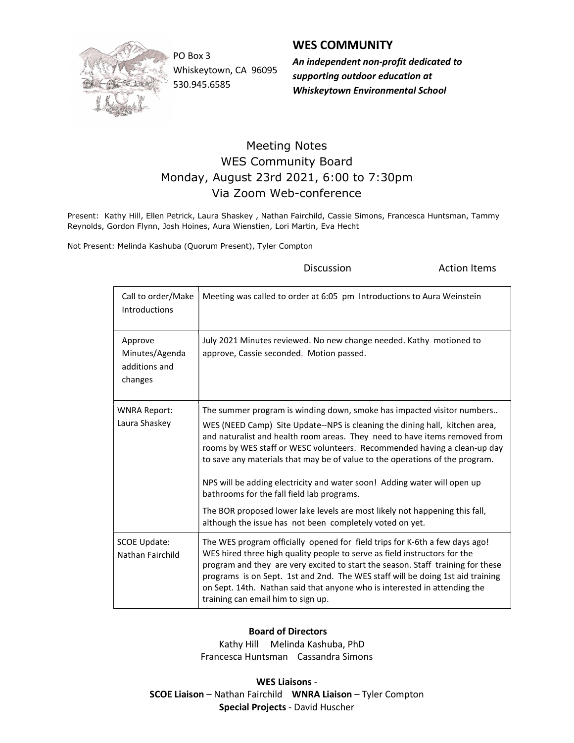

Whiskeytown, CA 96095 530.945.6585

## WES COMMUNITY

PO Box 3 **An independent non-profit dedicated to An** supporting outdoor education at Whiskeytown Environmental School

## Meeting Notes WES Community Board Monday, August 23rd 2021, 6:00 to 7:30pm Via Zoom Web-conference

Present: Kathy Hill, Ellen Petrick, Laura Shaskey , Nathan Fairchild, Cassie Simons, Francesca Huntsman, Tammy Reynolds, Gordon Flynn, Josh Hoines, Aura Wienstien, Lori Martin, Eva Hecht

Not Present: Melinda Kashuba (Quorum Present), Tyler Compton

**Discussion Constanting Discussion Action Items** 

| Call to order/Make<br>Introductions                   | Meeting was called to order at 6:05 pm Introductions to Aura Weinstein                                                                                                                                                                                                                                                                                                                                                                                                                                                                                                                                                                                               |
|-------------------------------------------------------|----------------------------------------------------------------------------------------------------------------------------------------------------------------------------------------------------------------------------------------------------------------------------------------------------------------------------------------------------------------------------------------------------------------------------------------------------------------------------------------------------------------------------------------------------------------------------------------------------------------------------------------------------------------------|
| Approve<br>Minutes/Agenda<br>additions and<br>changes | July 2021 Minutes reviewed. No new change needed. Kathy motioned to<br>approve, Cassie seconded. Motion passed.                                                                                                                                                                                                                                                                                                                                                                                                                                                                                                                                                      |
| <b>WNRA Report:</b><br>Laura Shaskey                  | The summer program is winding down, smoke has impacted visitor numbers<br>WES (NEED Camp) Site Update--NPS is cleaning the dining hall, kitchen area,<br>and naturalist and health room areas. They need to have items removed from<br>rooms by WES staff or WESC volunteers. Recommended having a clean-up day<br>to save any materials that may be of value to the operations of the program.<br>NPS will be adding electricity and water soon! Adding water will open up<br>bathrooms for the fall field lab programs.<br>The BOR proposed lower lake levels are most likely not happening this fall,<br>although the issue has not been completely voted on yet. |
| <b>SCOE Update:</b><br>Nathan Fairchild               | The WES program officially opened for field trips for K-6th a few days ago!<br>WES hired three high quality people to serve as field instructors for the<br>program and they are very excited to start the season. Staff training for these<br>programs is on Sept. 1st and 2nd. The WES staff will be doing 1st aid training<br>on Sept. 14th. Nathan said that anyone who is interested in attending the<br>training can email him to sign up.                                                                                                                                                                                                                     |

## Board of Directors

 Kathy Hill Melinda Kashuba, PhD Francesca Huntsman Cassandra Simons

WES Liaisons - SCOE Liaison – Nathan Fairchild WNRA Liaison – Tyler Compton Special Projects - David Huscher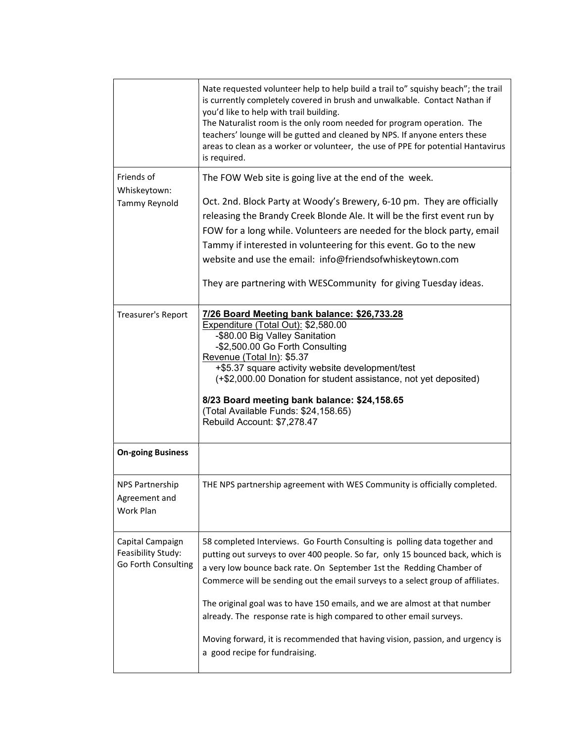|                                                               | Nate requested volunteer help to help build a trail to" squishy beach"; the trail<br>is currently completely covered in brush and unwalkable. Contact Nathan if<br>you'd like to help with trail building.<br>The Naturalist room is the only room needed for program operation. The<br>teachers' lounge will be gutted and cleaned by NPS. If anyone enters these<br>areas to clean as a worker or volunteer, the use of PPE for potential Hantavirus<br>is required.                                                                                                                          |  |
|---------------------------------------------------------------|-------------------------------------------------------------------------------------------------------------------------------------------------------------------------------------------------------------------------------------------------------------------------------------------------------------------------------------------------------------------------------------------------------------------------------------------------------------------------------------------------------------------------------------------------------------------------------------------------|--|
| Friends of<br>Whiskeytown:<br>Tammy Reynold                   | The FOW Web site is going live at the end of the week.<br>Oct. 2nd. Block Party at Woody's Brewery, 6-10 pm. They are officially<br>releasing the Brandy Creek Blonde Ale. It will be the first event run by<br>FOW for a long while. Volunteers are needed for the block party, email<br>Tammy if interested in volunteering for this event. Go to the new<br>website and use the email: info@friendsofwhiskeytown.com<br>They are partnering with WESCommunity for giving Tuesday ideas.                                                                                                      |  |
| Treasurer's Report                                            | 7/26 Board Meeting bank balance: \$26,733.28<br>Expenditure (Total Out): \$2,580.00<br>-\$80.00 Big Valley Sanitation<br>-\$2,500.00 Go Forth Consulting<br>Revenue (Total In): \$5.37<br>+\$5.37 square activity website development/test<br>(+\$2,000.00 Donation for student assistance, not yet deposited)<br>8/23 Board meeting bank balance: \$24,158.65<br>(Total Available Funds: \$24,158.65)<br>Rebuild Account: \$7,278.47                                                                                                                                                           |  |
| <b>On-going Business</b>                                      |                                                                                                                                                                                                                                                                                                                                                                                                                                                                                                                                                                                                 |  |
| <b>NPS Partnership</b><br>Agreement and<br>Work Plan          | THE NPS partnership agreement with WES Community is officially completed.                                                                                                                                                                                                                                                                                                                                                                                                                                                                                                                       |  |
| Capital Campaign<br>Feasibility Study:<br>Go Forth Consulting | 58 completed Interviews. Go Fourth Consulting is polling data together and<br>putting out surveys to over 400 people. So far, only 15 bounced back, which is<br>a very low bounce back rate. On September 1st the Redding Chamber of<br>Commerce will be sending out the email surveys to a select group of affiliates.<br>The original goal was to have 150 emails, and we are almost at that number<br>already. The response rate is high compared to other email surveys.<br>Moving forward, it is recommended that having vision, passion, and urgency is<br>a good recipe for fundraising. |  |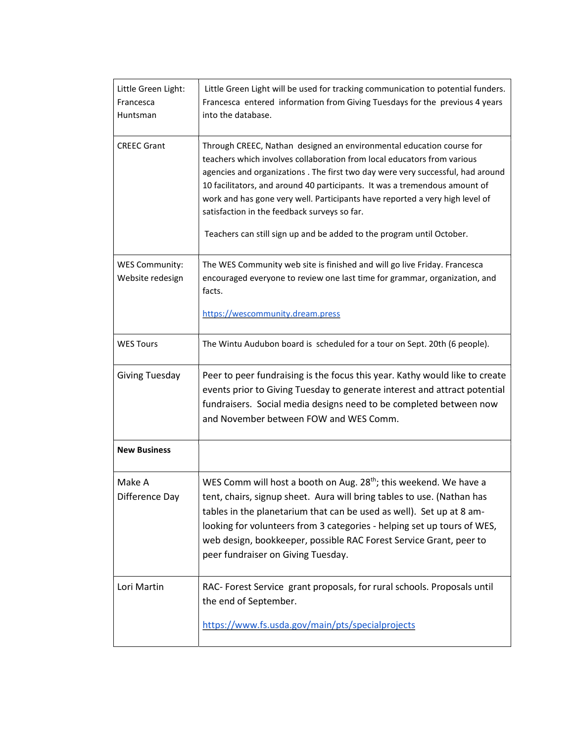| Little Green Light:<br>Francesca<br>Huntsman | Little Green Light will be used for tracking communication to potential funders.<br>Francesca entered information from Giving Tuesdays for the previous 4 years<br>into the database.                                                                                                                                                                                                                                                                                                                                    |
|----------------------------------------------|--------------------------------------------------------------------------------------------------------------------------------------------------------------------------------------------------------------------------------------------------------------------------------------------------------------------------------------------------------------------------------------------------------------------------------------------------------------------------------------------------------------------------|
| <b>CREEC Grant</b>                           | Through CREEC, Nathan designed an environmental education course for<br>teachers which involves collaboration from local educators from various<br>agencies and organizations. The first two day were very successful, had around<br>10 facilitators, and around 40 participants. It was a tremendous amount of<br>work and has gone very well. Participants have reported a very high level of<br>satisfaction in the feedback surveys so far.<br>Teachers can still sign up and be added to the program until October. |
| <b>WES Community:</b>                        | The WES Community web site is finished and will go live Friday. Francesca                                                                                                                                                                                                                                                                                                                                                                                                                                                |
| Website redesign                             | encouraged everyone to review one last time for grammar, organization, and<br>facts.                                                                                                                                                                                                                                                                                                                                                                                                                                     |
|                                              | https://wescommunity.dream.press                                                                                                                                                                                                                                                                                                                                                                                                                                                                                         |
| <b>WES Tours</b>                             | The Wintu Audubon board is scheduled for a tour on Sept. 20th (6 people).                                                                                                                                                                                                                                                                                                                                                                                                                                                |
| <b>Giving Tuesday</b>                        | Peer to peer fundraising is the focus this year. Kathy would like to create<br>events prior to Giving Tuesday to generate interest and attract potential<br>fundraisers. Social media designs need to be completed between now<br>and November between FOW and WES Comm.                                                                                                                                                                                                                                                 |
| <b>New Business</b>                          |                                                                                                                                                                                                                                                                                                                                                                                                                                                                                                                          |
| Make A<br>Difference Day                     | WES Comm will host a booth on Aug. 28 <sup>th</sup> ; this weekend. We have a<br>tent, chairs, signup sheet. Aura will bring tables to use. (Nathan has<br>tables in the planetarium that can be used as well). Set up at 8 am-<br>looking for volunteers from 3 categories - helping set up tours of WES,<br>web design, bookkeeper, possible RAC Forest Service Grant, peer to<br>peer fundraiser on Giving Tuesday.                                                                                                   |
| Lori Martin                                  | RAC- Forest Service grant proposals, for rural schools. Proposals until<br>the end of September.                                                                                                                                                                                                                                                                                                                                                                                                                         |
|                                              | https://www.fs.usda.gov/main/pts/specialprojects                                                                                                                                                                                                                                                                                                                                                                                                                                                                         |